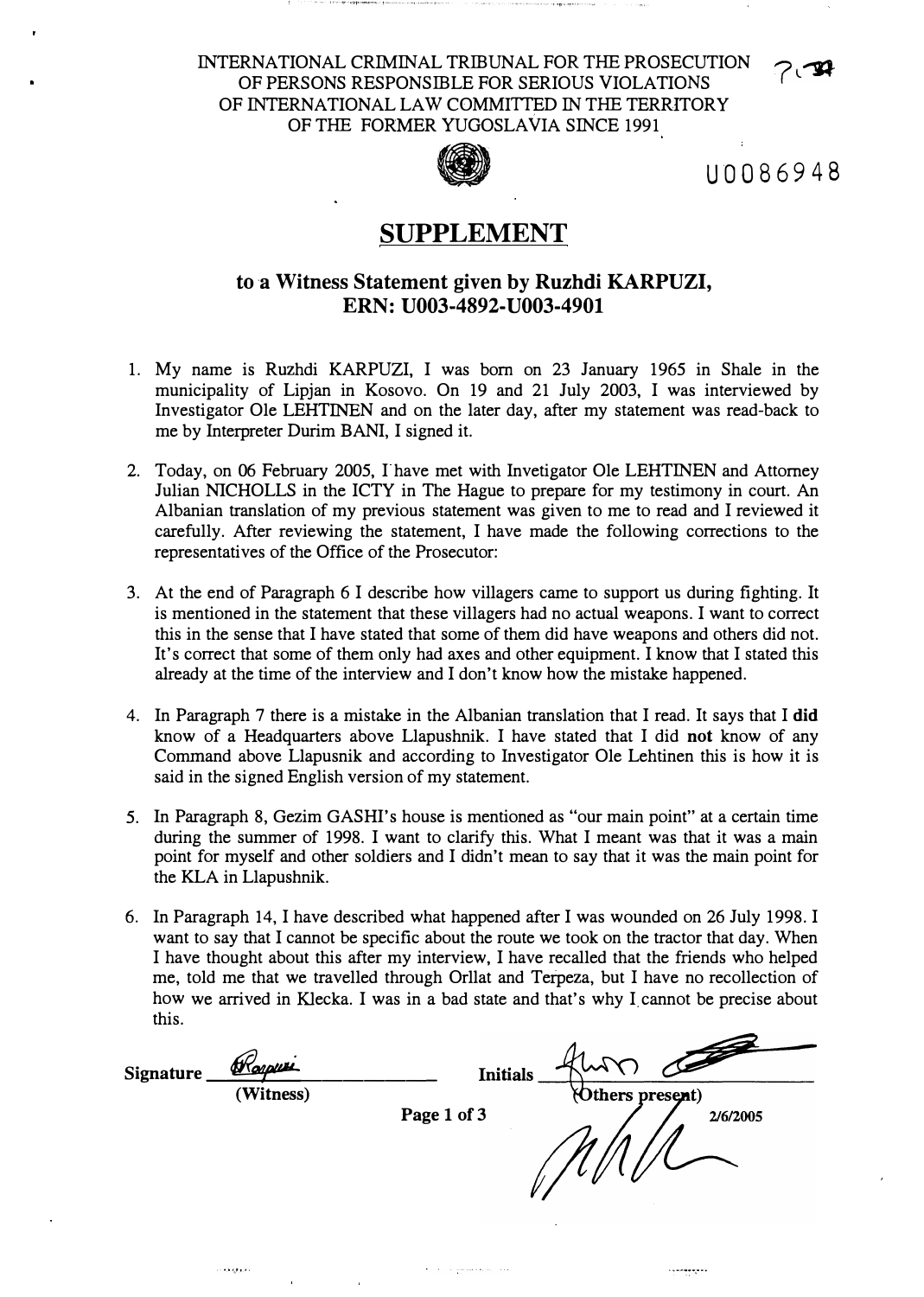INTERNATIONAL CRIMINAL TRIBUNAL FOR THE PROSECUTION OF PERSONS RESPONSIBLE FOR SERIOUS VIOLATIONS OF INTERNATIONAL LAW COMMITTED IN THE TERRITORY OF THE FORMER YUGOSLAVIA SINCE 1991 FORMALLED IN THE TEKKNOW!<br>YUGOSLAVIA SINCE 1991<br>U0086948



# **SUPPLEMENT**

## to a Witness Statement given by Ruzhdi KARPUZI, **ERN: U003-4892-U003-4901**

- 1. My name is Ruzhdi KARPUZI, I was born on 23 January 1965 in Shale in the municipality of Lipjan in Kosovo. On 19 and 21 July 2003, I was interviewed by Investigator Ole LEHTINEN and on the later day, after my statement was read-back to me by Interpreter Durim BANI, I signed it.
- 2. Today, on 06 February 2005, I have met with Invetigator Ole LEHTINEN and Attorney Julian NICHOLLS in the ICTY in The Hague to prepare for my testimony in court. An Albanian translation of my previous statement was given to me to read and I reviewed it carefully. After reviewing the statement, I have made the following corrections to the representatives of the Office of the Prosecutor:
- 3. At the end of Paragraph 6 I describe how villagers came to support us during fighting. It is mentioned in the statement that these villagers had no actual weapons. I want to correct this in the sense that I have stated that some of them did have weapons and others did not. It's correct that some of them only had axes and other equipment. I know that I stated this already at the time of the interview and I don't know how the mistake happened.
- 4. In Paragraph 7 there is a mistake in the Albanian translation that I read. It says that I **did** know of a Headquarters above Llapushnik. I have stated that I did not know of any Command above Llapusnik and according to Investigator Ole Lehtinen this is how it is said in the signed English version of my statement.
- 5. In Paragraph 8, Gezim GASHI's house is mentioned as "our main point" at a certain time during the summer of 1998. I want to clarify this. What I meant was that it was a main point for myself and other soldiers and I didn't mean to say that it was the main point for the KLA in Llapushnik.
- 6. In Paragraph 14, I have described what happened after I was wounded on 26 July 1998. I want to say that I cannot be specific about the route we took on the tractor that day. When I have thought about this after my interview, I have recalled that the friends who helped me, told me that we travelled through Orllat and Terpeza, but I have no recollection of how we arrived in Klecka. I was in a bad state and that's why I cannot be precise about this.

Signature *Woopus* **Initials (Witness)** Others present) **Page 1 of 3**2/6/2005

. . . . . . . .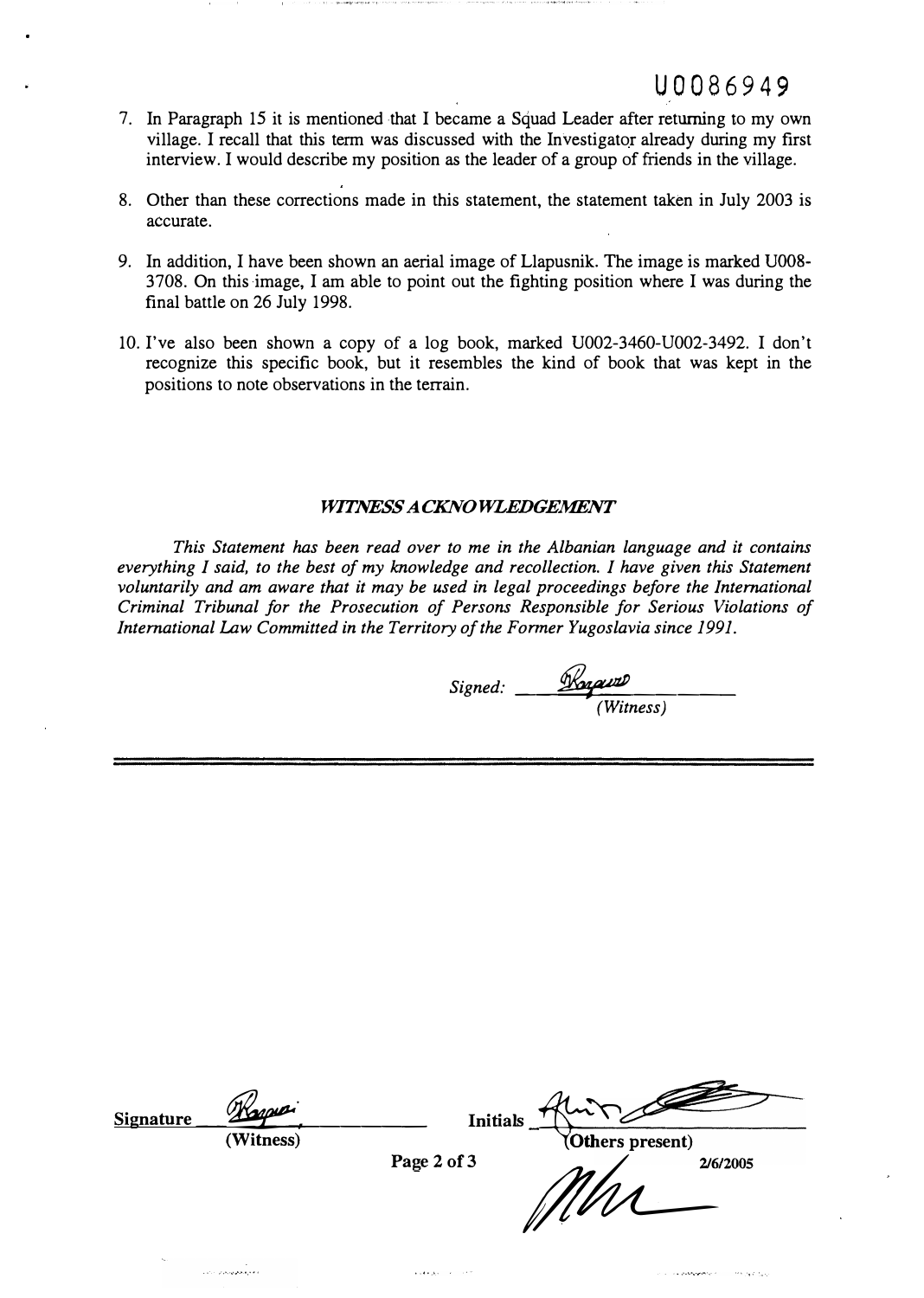# U0086949

- 7. In Paragraph 15 it is mentioned that I became a Squad Leader after returning to my own village. I recall that this term was discussed with the Investigator already during my first interview. I would describe my position as the leader of a group of friends in the village.
- 8. Other than these corrections made in this statement, the statement taken in July 2003 is accurate.
- 9. In addition, I have been shown an aerial image of Llapusnik. The image is marked UOOS-3708. On this-image, I am able to point out the fighting position where I was during the final battle on 26 July 1998.
- 10. I've also been shown a copy of a log book, marked U002-3460-U002-3492. I don't recognize this specific book, but it resembles the kind of book that was kept in the positions to note observations in the terrain.

### *WITNESS ACKNOWLEDGEMENT*

*This Statement has been read over to me in the Albanian language and it contains everything I said, to the best of my knowledge and recollection. I have given this Statement voluntarily and am aware that it may be used in legal proceedings before the International Criminal Tribunal for the Prosecution of Persons Responsible for Serious Violations of International Law Committed in the Territory of the Former Yugoslavia since 1991.* 

| Signed: | Kraw      |
|---------|-----------|
|         | (Witness) |

**Contract of the contract of the contract of the contract of the contract of the contract of the contract of the contract of the contract of the contract of the contract of the contract of the contract of the contract of t** 

| <b>Signature</b> | Kapper    | <b>Initials</b> |                  |          |
|------------------|-----------|-----------------|------------------|----------|
|                  | (Witness) | Page 2 of 3     | (Others present) | 2/6/2005 |
|                  |           |                 | $\mathscr{U}$    |          |

 $\Delta$  . The space  $\Delta$  is a second second

ومتوقعتهم ومراد بالمدر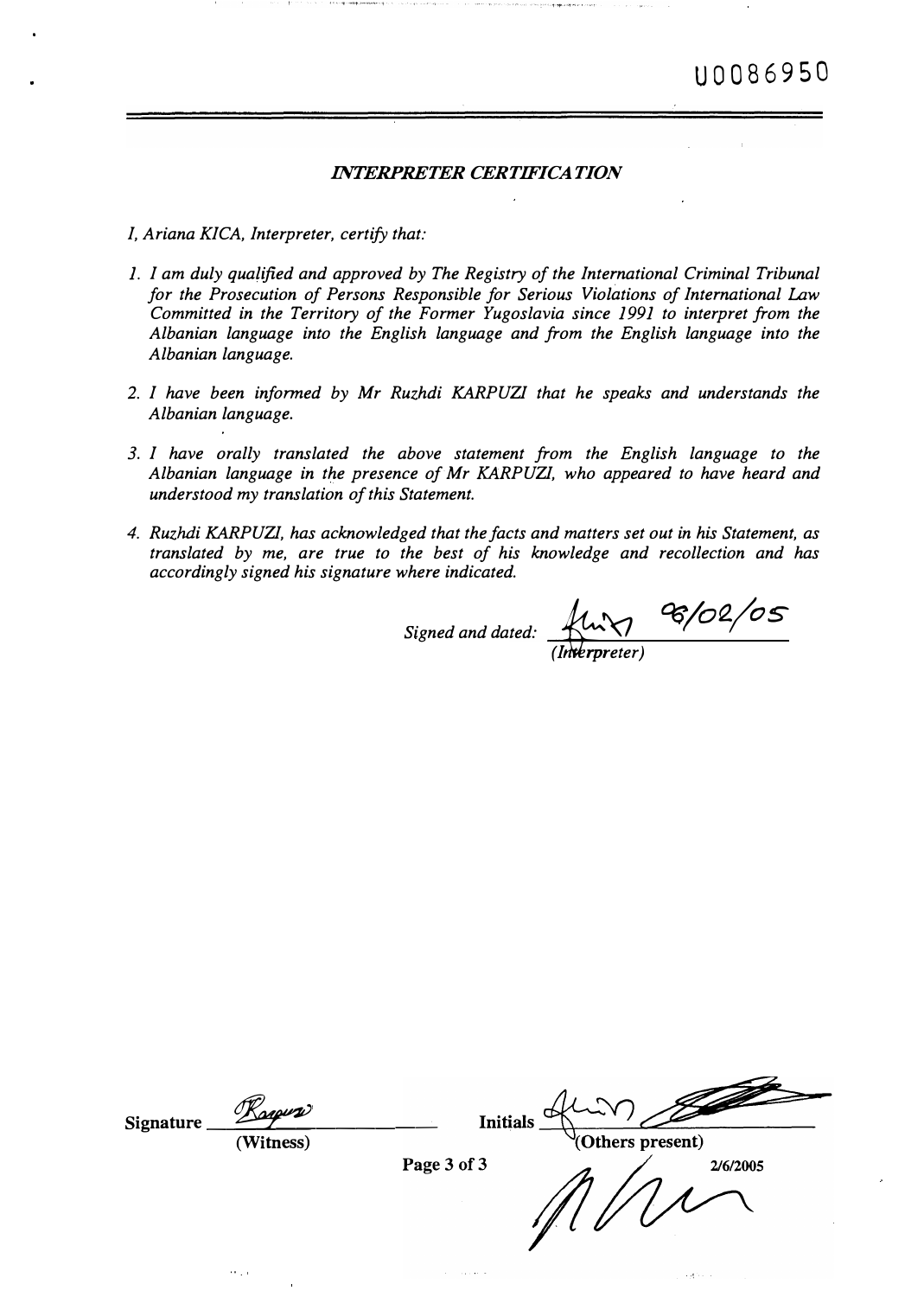### *INTERPRETER CERTIFICATION*

- *I, Ariana KICA, Interpreter, certify that:*
- *1. I am duly qualified and approved by The Registry of the International Criminal Tribunal for the Prosecution of Persons Responsible for Serious Violations of International Law Committed in the Territory of the Former Yugoslavia since 1991 to interpret from the Albanian language into the English language and from the English language into the Albanian language.*
- 2. *I have been informed by Mr Ruzhdi KARPUZI that he speaks and understands the Albanian language.*
- *3. I have orally translated the above statement from the English language to the Albanian language in the presence of Mr KARP UZI, who appeared to have heard and understood my translation of this Statement.*
- *4. Ruzhdi KARPUZI, has acknowledged that the facts and matters set out in his Statement, as translated by me, are true to the best of his knowledge and recollection and has accordingly signed his signature where indicated.*

*Signed and dated:*  $\frac{f(u \gamma)}{(I \text{ where } t)}$  **6/02/05** 

Signature **Initials** (Others present) **(Witness)**Page 3 of 3 2/6/2005 o.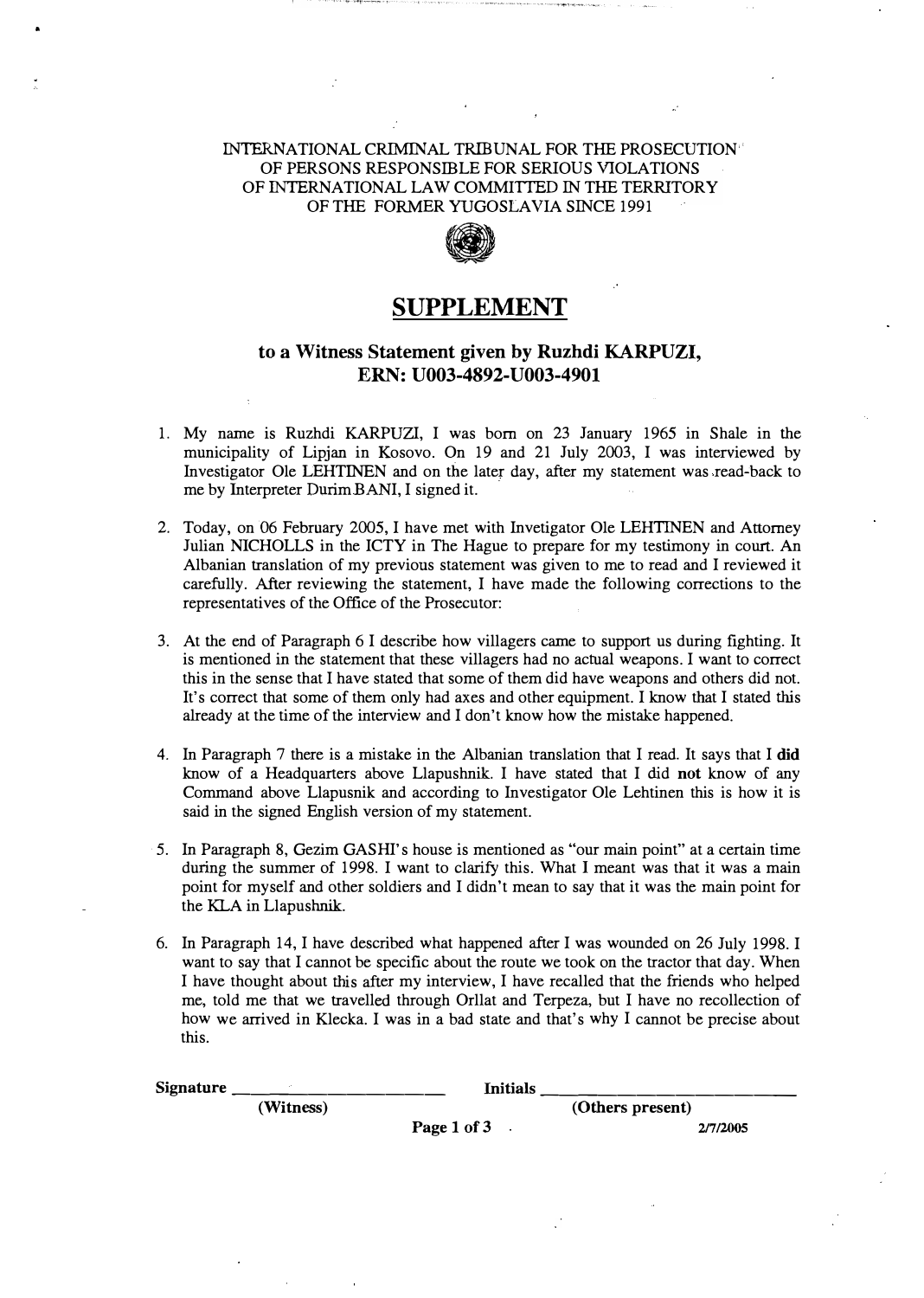#### INTERNATIONAL CRIMINAL TRIBUNAL FOR THE PROSECUTION·' OF PERSONS RESPONSIBLE FOR SERJOUS VIOLATIONS OF INTERNATIONAL LAW COMMITTED IN THE TERRJTORY OF THE FORMER YUGOSLAVIA SINCE 1991



## **SUPPLEMENT**

## **to a Witness Statement given by Ruzhdi KARPUZI, ERN: U003-4892-U003-4901**

- 1. My name is Ruzhdi KARPUZI, I was born on 23 January 1965 in Shale in the municipality of Lipjan in Kosovo. On 19 and 21 July 2003, I was interviewed by Investigator Ole LEHTINEN and on the later day, after my statement was read-back to me by Interpreter Durim BANI, I signed it.
- 2. Today, on 06 February 2005, I have met with Invetigator Ole LEHTINEN and Attorney Julian NICHOLLS in the ICTY in The Hague to prepare for my testimony in court. An Albanian translation of my previous statement was given to me to read and I reviewed it carefully. After reviewing the statement, I have made the following corrections to the representatives of the Office of the Prosecutor:
- 3. At the end of Paragraph 6 I describe how villagers came to support us during fighting. It is mentioned in the statement that these villagers had no actual weapons. I want to correct this in the sense that I have stated that some of them did have weapons and others did not. It's correct that some of them only had axes and other equipment. I know that I stated this already at the time of the interview and I don't know how the mistake happened.
- 4. In Paragraph 7 there is a mistake in the Albanian translation that I read. It says that I did know of a Headquarters above Llapushnik. I have stated that I did **not** know of any Command above Llapusnik and according to Investigator Ole Lehtinen this is how it is said in the signed English version of my statement.
- 5. In Paragraph 8, Gezim GASHI's house is mentioned as "our main point" at a certain time during the summer of 1998. I want to clarify this. What I meant was that it was a main point for myself and other soldiers and I didn't mean to say that it was the main point for the KLA in Llapushnik.
- 6. In Paragraph 14, I have described what happened after I was wounded on 26 July 1998. I want to say that I cannot be specific about the route we took on the tractor that day. When I have thought about this after my interview, I have recalled that the friends who helped me, told me that we travelled through Orllat and Terpeza, but I have no recollection of how we arrived in Klecka. I was in a bad state and that's why I cannot be precise about this.

| <b>Signature</b> | Initials    |                  |  |  |
|------------------|-------------|------------------|--|--|
| (Witness)        |             | (Others present) |  |  |
|                  | Page 1 of 3 | 2/7/2005         |  |  |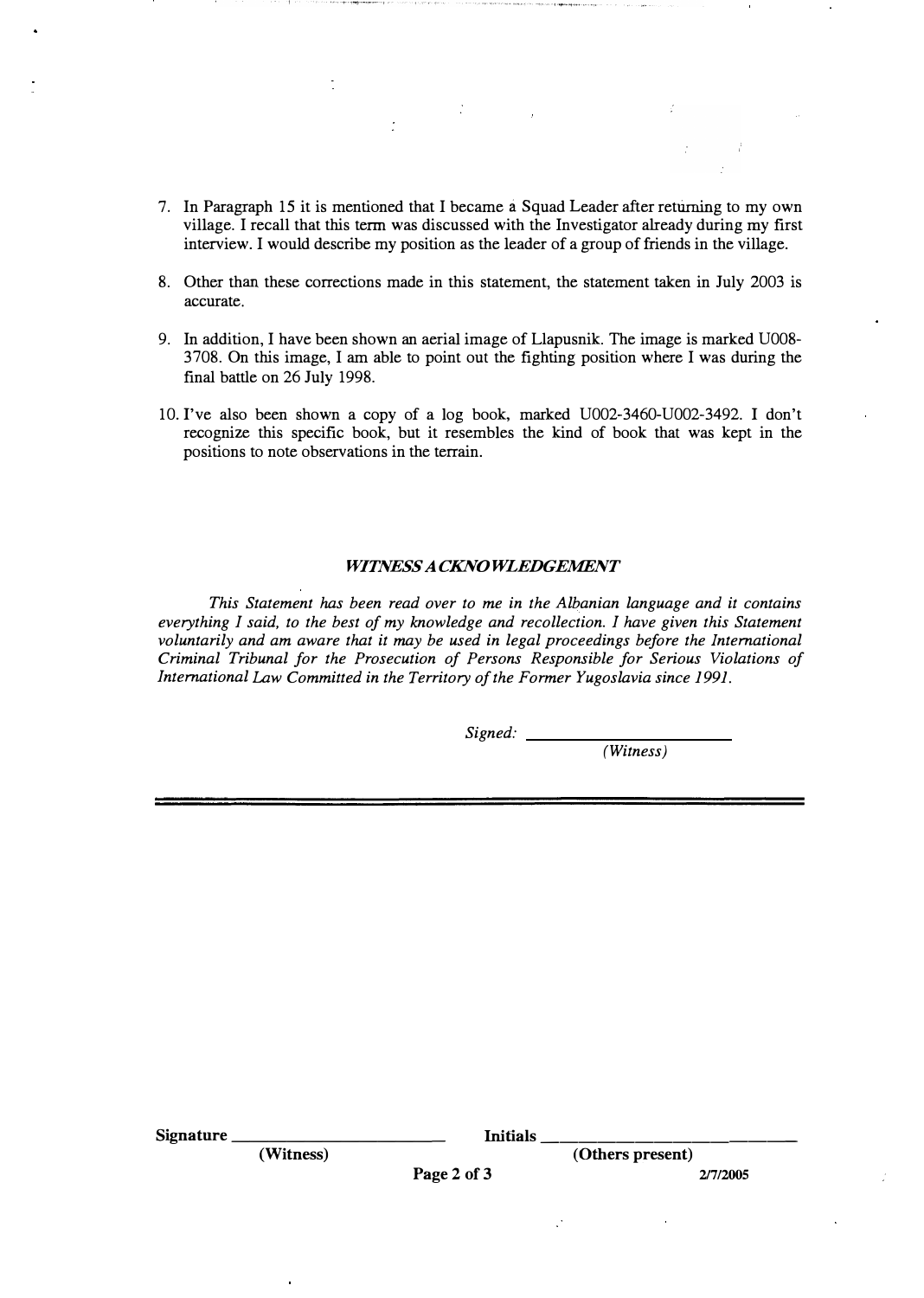- 7. In Paragraph 15 it is mentioned that I became a Squad Leader after returning to my own village. I recall that this term was discussed with the Investigator already during my first interview. I would describe my position as the leader of a group of friends in the village.
- 8. Other than these corrections made in this statement, the statement taken in July 2003 is accurate.
- 9. In addition, I have been shown an aerial image of Llapusnik. The image is marked U008- 3708. On this image, I am able to point out the fighting position where I was during the final battle on 26 July 1998.
- 10. I've also been shown a copy of a log book, marked U002-3460-U002-3492. I don't recognize this specific book, but it resembles the kind of book that was kept in the positions to note observations in the terrain.

#### **WITNESS A CKNOWLEDGEMENT**

*This Statement has been read over to me in the Albanian language and it contains everything I said, to the best of my knowledge and recollection. I have given this Statement voluntarily and am aware that it may be used in legal proceedings before the International Criminal Tribunal for the Prosecution of Persons Responsible for Serious Violations of International Law Committed in the Territory of the Former Yugoslavia since 1991.* 

*Signed:* 

*(Witness)* 

| <b>Signature</b> | <b>Initials</b> |             |                  |
|------------------|-----------------|-------------|------------------|
|                  | (Witness)       |             | (Others present) |
|                  |                 | Page 2 of 3 | 2/7/2005         |